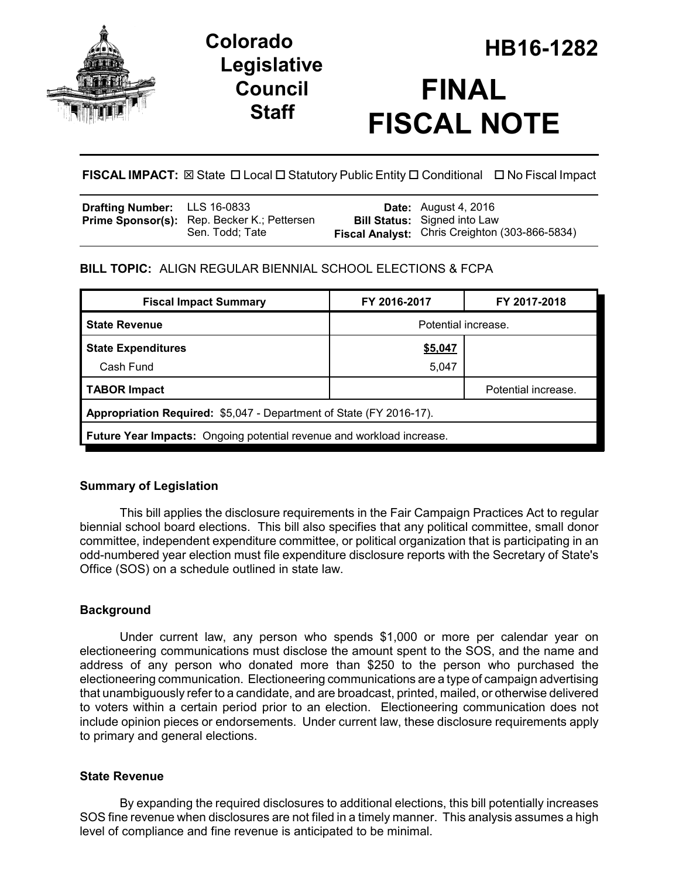

# **Legislative Council Staff**

# **HB16-1282 Colorado FINAL FISCAL NOTE**

# **FISCAL IMPACT:** ⊠ State □ Local □ Statutory Public Entity □ Conditional □ No Fiscal Impact

| <b>Drafting Number:</b> LLS 16-0833 |                                                                | <b>Date:</b> August 4, 2016                                                           |
|-------------------------------------|----------------------------------------------------------------|---------------------------------------------------------------------------------------|
|                                     | Prime Sponsor(s): Rep. Becker K.; Pettersen<br>Sen. Todd: Tate | <b>Bill Status:</b> Signed into Law<br>Fiscal Analyst: Chris Creighton (303-866-5834) |
|                                     |                                                                |                                                                                       |

# **BILL TOPIC:** ALIGN REGULAR BIENNIAL SCHOOL ELECTIONS & FCPA

| <b>Fiscal Impact Summary</b>                                          | FY 2016-2017        | FY 2017-2018        |  |  |  |
|-----------------------------------------------------------------------|---------------------|---------------------|--|--|--|
| <b>State Revenue</b>                                                  | Potential increase. |                     |  |  |  |
| <b>State Expenditures</b>                                             | \$5,047             |                     |  |  |  |
| Cash Fund                                                             | 5,047               |                     |  |  |  |
| <b>TABOR Impact</b>                                                   |                     | Potential increase. |  |  |  |
| Appropriation Required: \$5,047 - Department of State (FY 2016-17).   |                     |                     |  |  |  |
| Future Year Impacts: Ongoing potential revenue and workload increase. |                     |                     |  |  |  |

# **Summary of Legislation**

This bill applies the disclosure requirements in the Fair Campaign Practices Act to regular biennial school board elections. This bill also specifies that any political committee, small donor committee, independent expenditure committee, or political organization that is participating in an odd-numbered year election must file expenditure disclosure reports with the Secretary of State's Office (SOS) on a schedule outlined in state law.

### **Background**

Under current law, any person who spends \$1,000 or more per calendar year on electioneering communications must disclose the amount spent to the SOS, and the name and address of any person who donated more than \$250 to the person who purchased the electioneering communication. Electioneering communications are a type of campaign advertising that unambiguously refer to a candidate, and are broadcast, printed, mailed, or otherwise delivered to voters within a certain period prior to an election. Electioneering communication does not include opinion pieces or endorsements. Under current law, these disclosure requirements apply to primary and general elections.

### **State Revenue**

By expanding the required disclosures to additional elections, this bill potentially increases SOS fine revenue when disclosures are not filed in a timely manner. This analysis assumes a high level of compliance and fine revenue is anticipated to be minimal.